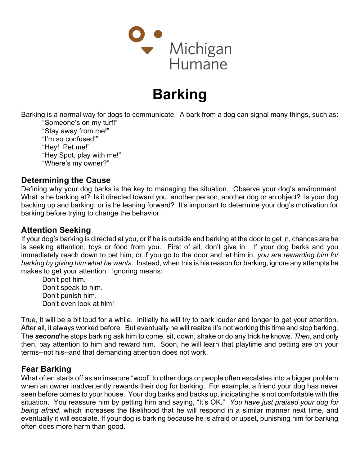

# Barking

Barking is a normal way for dogs to communicate. A bark from a dog can signal many things, such as: "Someone's on my turf!"

"Stay away from me!" "I'm so confused!" "Hey! Pet me!" "Hey Spot, play with me!" "Where's my owner?"

### Determining the Cause

Defining why your dog barks is the key to managing the situation. Observe your dog's environment. What is he barking at? Is it directed toward you, another person, another dog or an object? Is your dog backing up and barking, or is he leaning forward? It's important to determine your dog's motivation for barking before trying to change the behavior.

## Attention Seeking

If your dog's barking is directed at you, or if he is outside and barking at the door to get in, chances are he is seeking attention, toys or food from you. First of all, don't give in. If your dog barks and you immediately reach down to pet him, or if you go to the door and let him in, you are rewarding him for barking by giving him what he wants. Instead, when this is his reason for barking, ignore any attempts he makes to get your attention. Ignoring means:

Don't pet him. Don't speak to him. Don't punish him. Don't even look at him!

True, it will be a bit loud for a while. Initially he will try to bark louder and longer to get your attention. After all, it always worked before. But eventually he will realize it's not working this time and stop barking. The second he stops barking ask him to come, sit, down, shake or do any trick he knows. Then, and only then, pay attention to him and reward him. Soon, he will learn that playtime and petting are on your terms--not his--and that demanding attention does not work.

### Fear Barking

What often starts off as an insecure "woof" to other dogs or people often escalates into a bigger problem when an owner inadvertently rewards their dog for barking. For example, a friend your dog has never seen before comes to your house. Your dog barks and backs up, indicating he is not comfortable with the situation. You reassure him by petting him and saying, "It's OK." You have just praised your dog for being afraid, which increases the likelihood that he will respond in a similar manner next time, and eventually it will escalate. If your dog is barking because he is afraid or upset, punishing him for barking often does more harm than good.